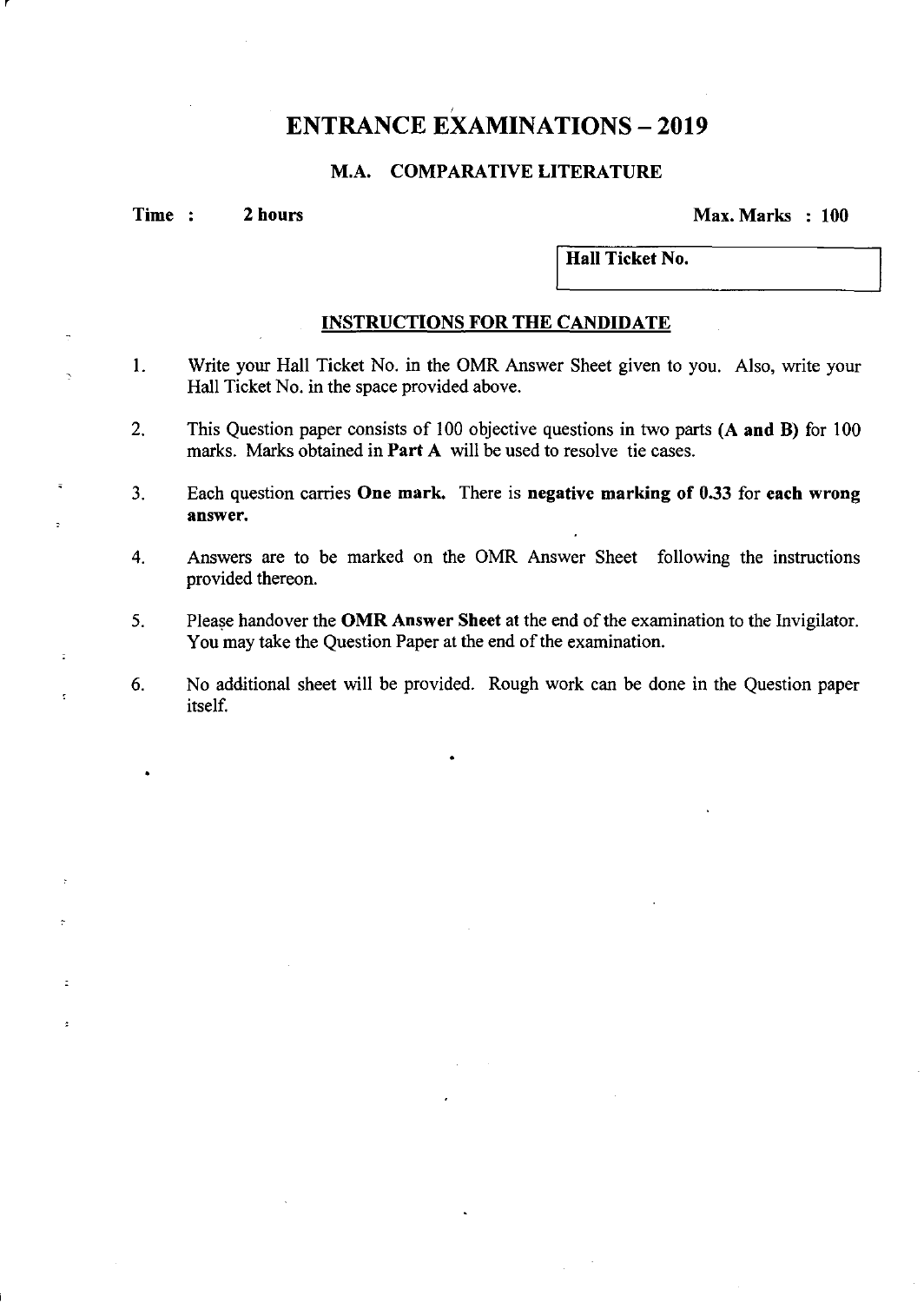# **ENTRANCE EXAMINATIONS - 2019**

# **M.A. COMPARATIVE LITERATURE**

r

 $\overline{a}$ 

 $\ddot{z}$ 

 $\mathbf{r}$ 

ä,

**Time : 2 hours 2 2 hours 2 100**  2 **Max. Marks 100** 

**Hall Ticket No.** 

## **INSTRUCTIONS FOR THE CANDIDATE**

- I. Write your Hall Ticket No. in the OMR Answer Sheet given to you. Also, write your Hall Ticket No. in the space provided above.
- 2. This Question paper consists of 100 objective questions in two parts **(A and B)** for 100 marks. Marks obtained in **Part A** will be used to resolve tie cases.
- 3. Each question carries **One mark.** There is **negative marking of 0.33** for **each wrong answer.**
- 4. Answers are to be marked on the OMR Answer Sheet following the instructions provided thereon.
- 5. Please handover the **OMR Answer Sheet** at the end of the examination to the Invigilator. You may take the Question Paper at the end of the examination.
- 6. No additional sheet will be provided. Rough work can be done in the Question paper itself.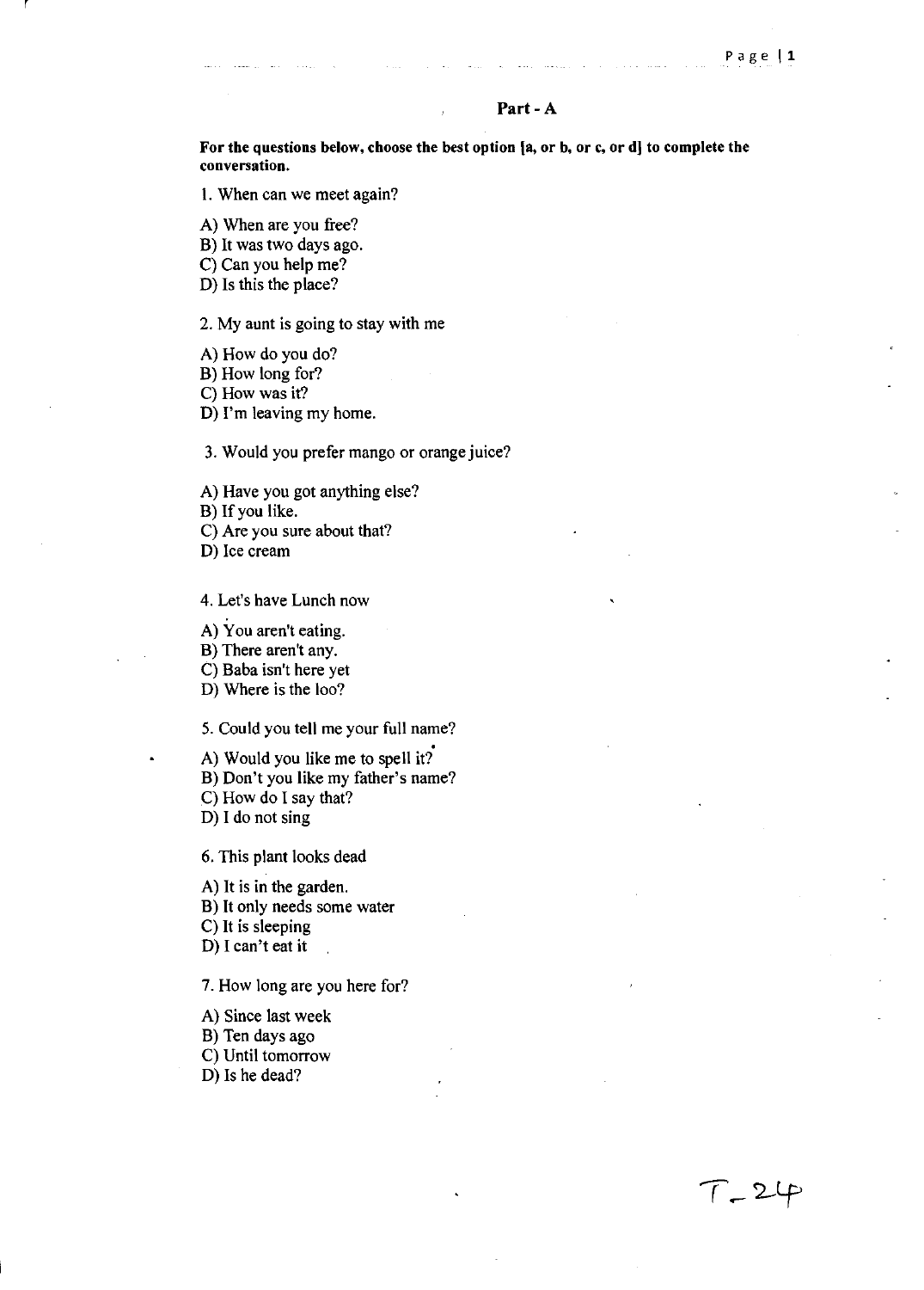### Part - A

For the questions below, choose the best option [a, or b, or c, or d] to complete the conversation.

I. When can we meet again?

A) When are you free?

B) It was two days ago.

C) Can you help me?

D) Is this the place?

#### 2. My aunt is going to stay with me

A) How do you do?

B) How long for?

C) How was it?

D) I'm leaving my home.

3. Would you prefer mango or orange juice?

A) Have you got anything else?

B) If you like.

C) Are you sure about that?

D) Ice cream

4. Let's have Lunch now

A) You aren't eating.

B) There aren't any.

C) Baba isn't here yet

D) Where is the loo?

5. Could you tell me your full name?<br>A) Would you like me to spell it? B) Don't you like my father's name? C) How do I say that? D) I do not sing

6. This plant looks dead

A) It is in the garden. B) It only needs some water C) It is sleeping D) I can't eat it

7. How long are you here for?

A) Since last week B) Ten days ago C) Until tomorrow D) Is he dead?

 $T - 24$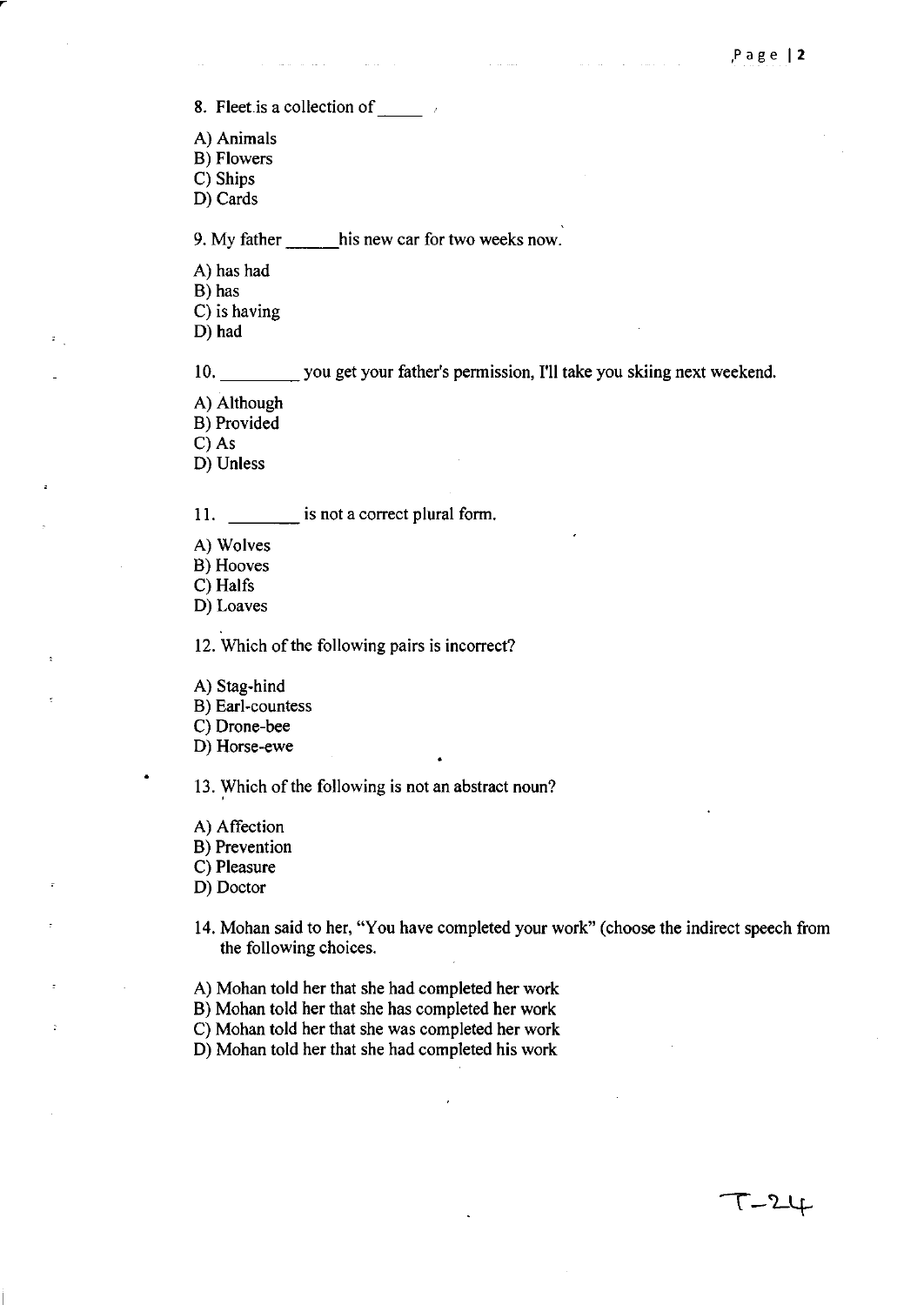$T-2$ 

8. Fleet is a collection of

 $\omega$  ,  $\omega$  ,

- A) Animals
- B) Flowers
- C) Ships
- D) Cards

9. My father his new car for two weeks now.

- A) has had
- B) has
- C) is having
- D) had

10. \_\_\_\_ you get your father's permission, I'll take you skiing next weekend.

- A) Although
- B) Provided

C) As

D) Unless

11. \_\_\_\_\_\_\_\_\_\_\_\_ is not a correct plural form.

- A) Wolves
- B) Hooves
- C) Halfs

D) Loaves

12. Which of the following pairs is incorrect?

A) Stag-hind

B) Earl-countess

C) Drone-bee

D) Horse-ewe

13. Which of the following is not an abstract noun?

A) Affection

B) Prevention

C) Pleasure

D) Doctor

- 14. Mohan said to her, "You have completed your work" (choose the indirect speech from the following choices.
- A) Mohan told her that she had completed her work
- B) Mohan told her that she has completed her work

C) Mohan told her that she was completed her work

D) Mohan told her that she had completed his work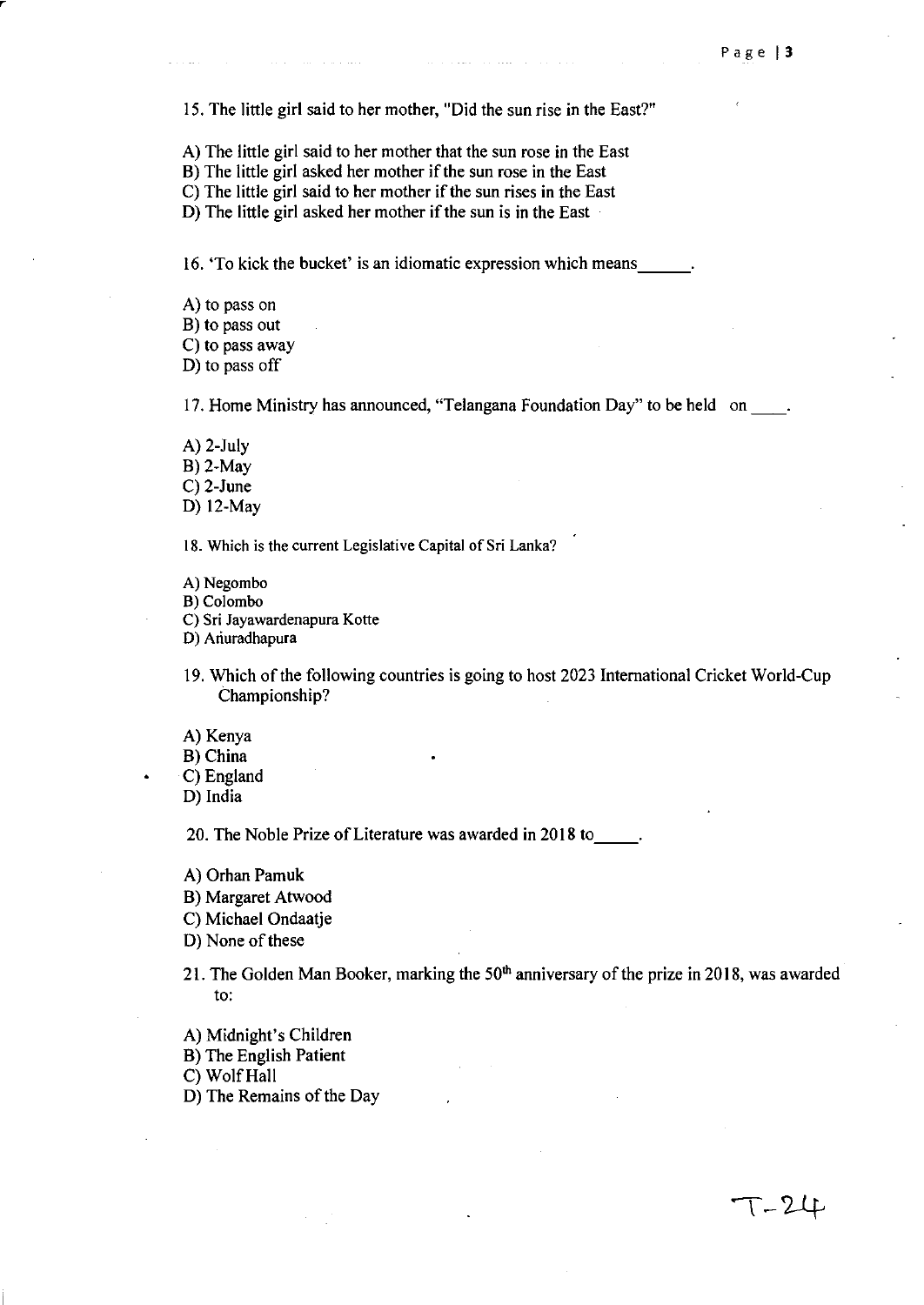T-24

15. The little girl said to her mother, "Did the sun rise in the East?"

A) The little girl said to her mother that the sun rose in the East

B) The little girl asked her mother if the sun rose in the East

C) The little girl said to her mother if the sun rises in the East

D) The little girl asked her mother if the sun is in the East

16. 'To kick the bucket' is an idiomatic expression which means.

- A) to pass on
- B) to pass out
- C) to pass away

D) to pass off

17. Home Ministry has announced, "Telangana Foundation Day" to be held on  $\qquad$ .

A) 2-July

B) 2-May

C) 2-June

D) 12-May

18. Which is the current Legislative Capital of Sri Lanka?

A) Negombo

B) Colombo

C) Sri Jayawardenapura Kotte

0) Ariuradhapura

19. Which of the following countries is going to host 2023 International Cricket World-Cup Championship?

A) Kenya

B) China

C) England

D) India

20. The Noble Prize of Literature was awarded in 2018 to  $\qquad$ .

A) Orhan Pamuk

B) Margaret Atwood

C) Michael Ondaatje

D) None of these

21. The Golden Man Booker, marking the  $50<sup>th</sup>$  anniversary of the prize in 2018, was awarded to:

A) Midnight's Children

B) The English Patient

C) Wolf Hall

D) The Remains of the Day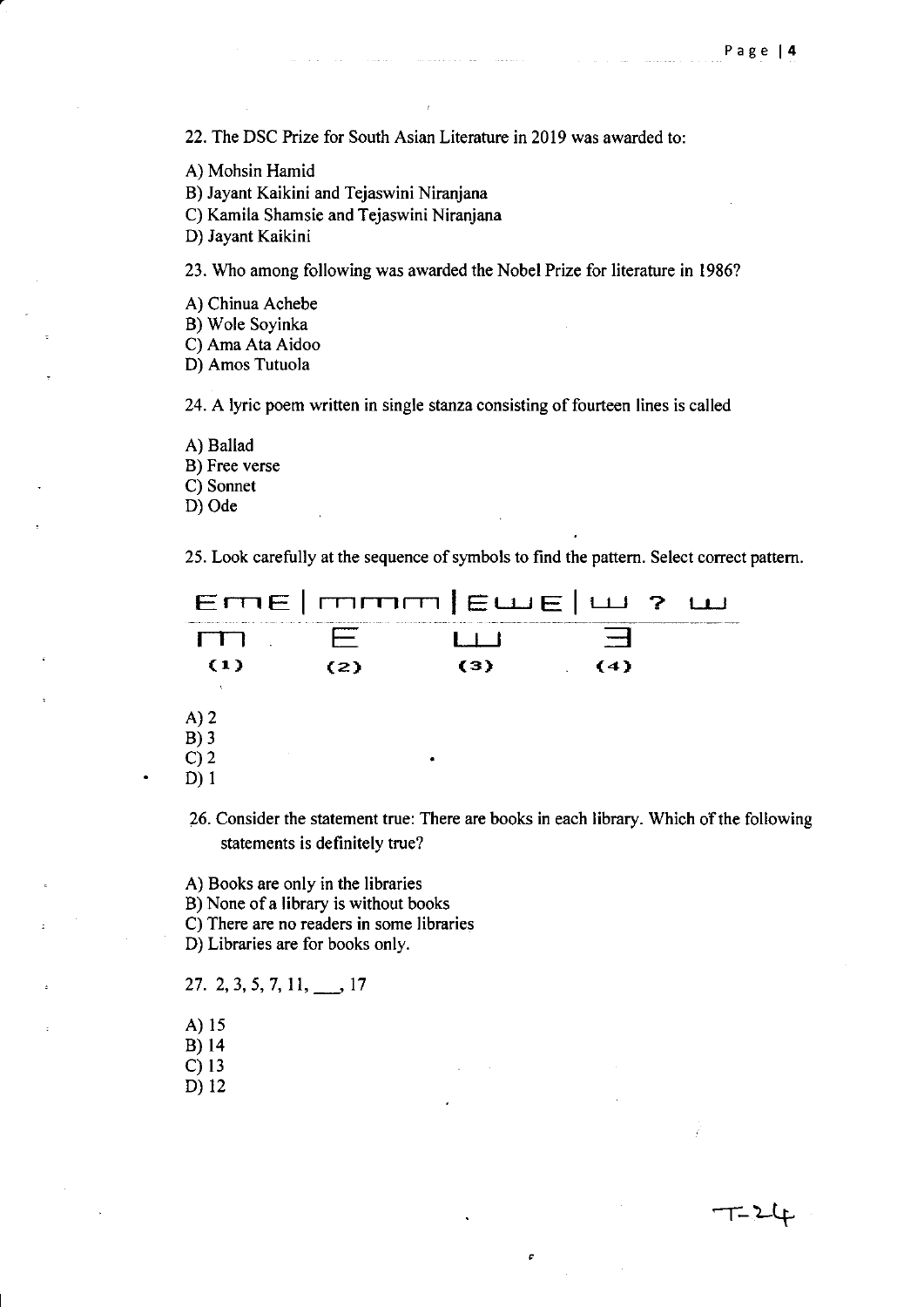᠆᠋᠋᠋᠆᠆᠌᠌᠈᠆ഺ

22. The DSC Prize for South Asian Literature in 2019 was awarded to:

an ann an an Sala

- A) Mohsin Hamid
- B) Jayant Kaikini and Tejaswini Niranjana
- C) Kamila Shamsie and Tejaswini Niranjana

D) Jayant Kaikini

23. Who among following was awarded the Nobel Prize for literature in 1986?

- A) Chinua Achebe
- B) Wole Soyinka
- C) Ama Ata Aidoo
- D) Amos Tutuola

24. A lyric poem written in single stanza consisting of fourteen lines is called

A) Ballad B) Free verse C) Sonnet D) Ode

25. Look carefully at the sequence of symbols to find the pattern. Select correct pattern.

|                | a describe de del concerto de la confidencia de la casa de la concerta de la casa de la casa de la diferenciación | ETTE   TTTTT   EWE   UJ 2 UJ |     |  |
|----------------|-------------------------------------------------------------------------------------------------------------------|------------------------------|-----|--|
|                |                                                                                                                   |                              |     |  |
| $\{1\}$        | (2)                                                                                                               | (3)                          | (4) |  |
|                |                                                                                                                   |                              |     |  |
| A)2            |                                                                                                                   |                              |     |  |
| $B)$ 3         |                                                                                                                   |                              |     |  |
| C <sub>2</sub> |                                                                                                                   |                              |     |  |
|                |                                                                                                                   |                              |     |  |

26. Consider the statement true: There are books in each library. Which of the following statements is definitely true?

c

A) Books are only in the libraries

B) None of a library is without books

- C) There are no readers in some libraries
- D) Libraries are for books only.

$$
27. \ 2, 3, 5, 7, 11, \_\_\_ 17
$$

- A) 15
- B)l4
- C)13
- D) 12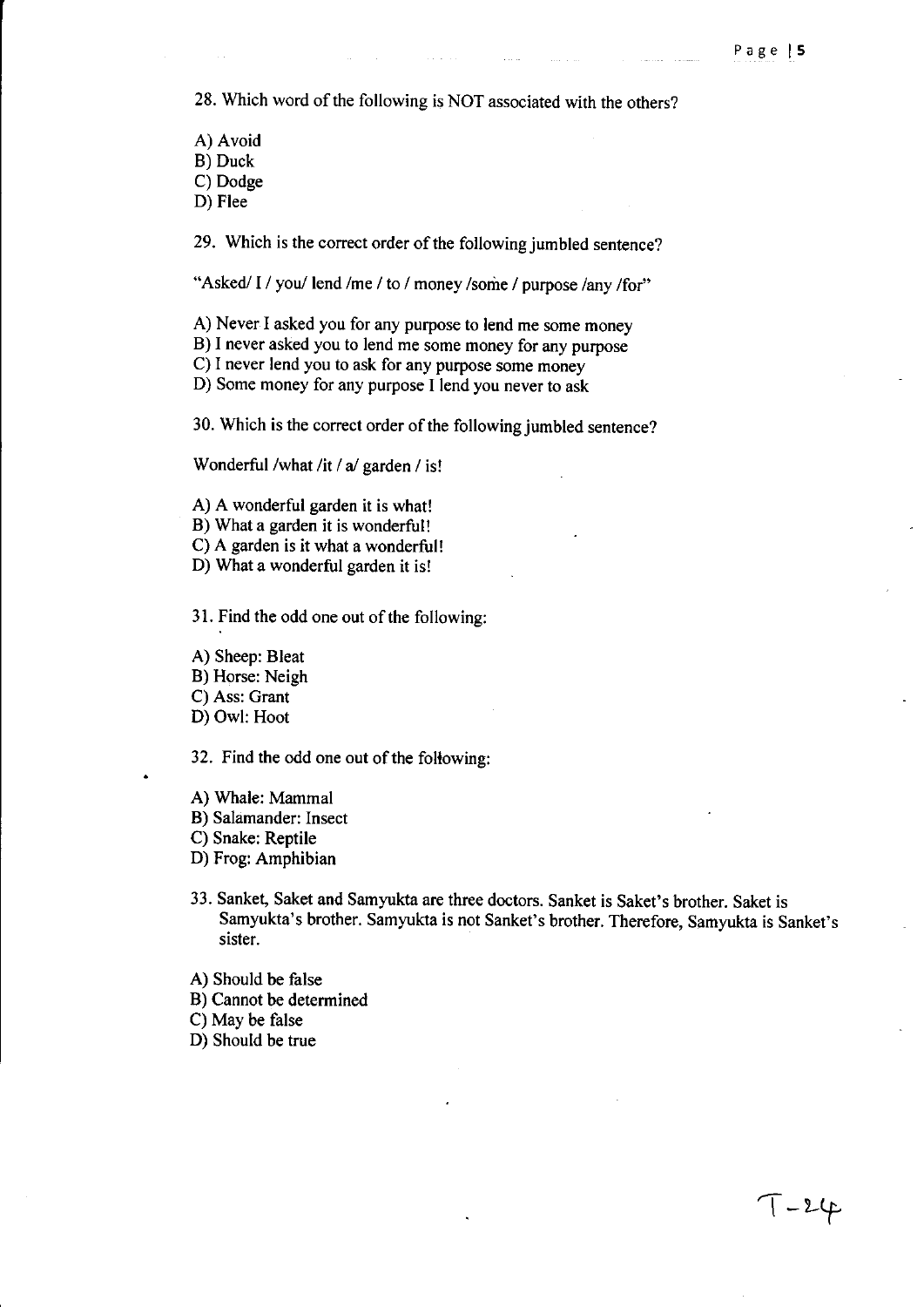$7 - 24$ 

28. Which word of the following is NOT associated with the others?

A) Avoid B) Duck C) Dodge D) Flee

29. Which is the correct order of the following jumbled sentence?

"Asked/ I / you/ lend /me / to / money /some / purpose /any /for"

A) Never I asked you for any purpose to lend me some money

B) I never asked you to lend me some money for any purpose

C) I never lend you to ask for any purpose some money

D) Some money for any purpose I lend you never to ask

30. Which is the correct order of the following jumbled sentence?

Wonderful /what /it / a/ garden / is!

A) A wonderful garden it is what!

B) What a garden it is wonderful!

C) A garden is it what a wonderful!

D) What a wonderful garden it is!

31. Find the odd one out of the following:

A) Sheep: Bleat

B) Horse: Neigh

C) Ass: Grant

D) Owl: Hoot

32. Find the odd one out of the following:

A) Whale: Mammal

B) Salamander: Insect

C) Snake: Reptile

D) Frog: Amphibian

- 33. Sanket, Saket and Samyukta are three doctors. Sanket is Saket's brother. Saket is Samyukta's brother. Samyukta is not Sanket's brother. Therefore, Samyukta is Sanket's sister.
- A) Should be false
- B) Cannot be determined

C) May be false

D) Should be true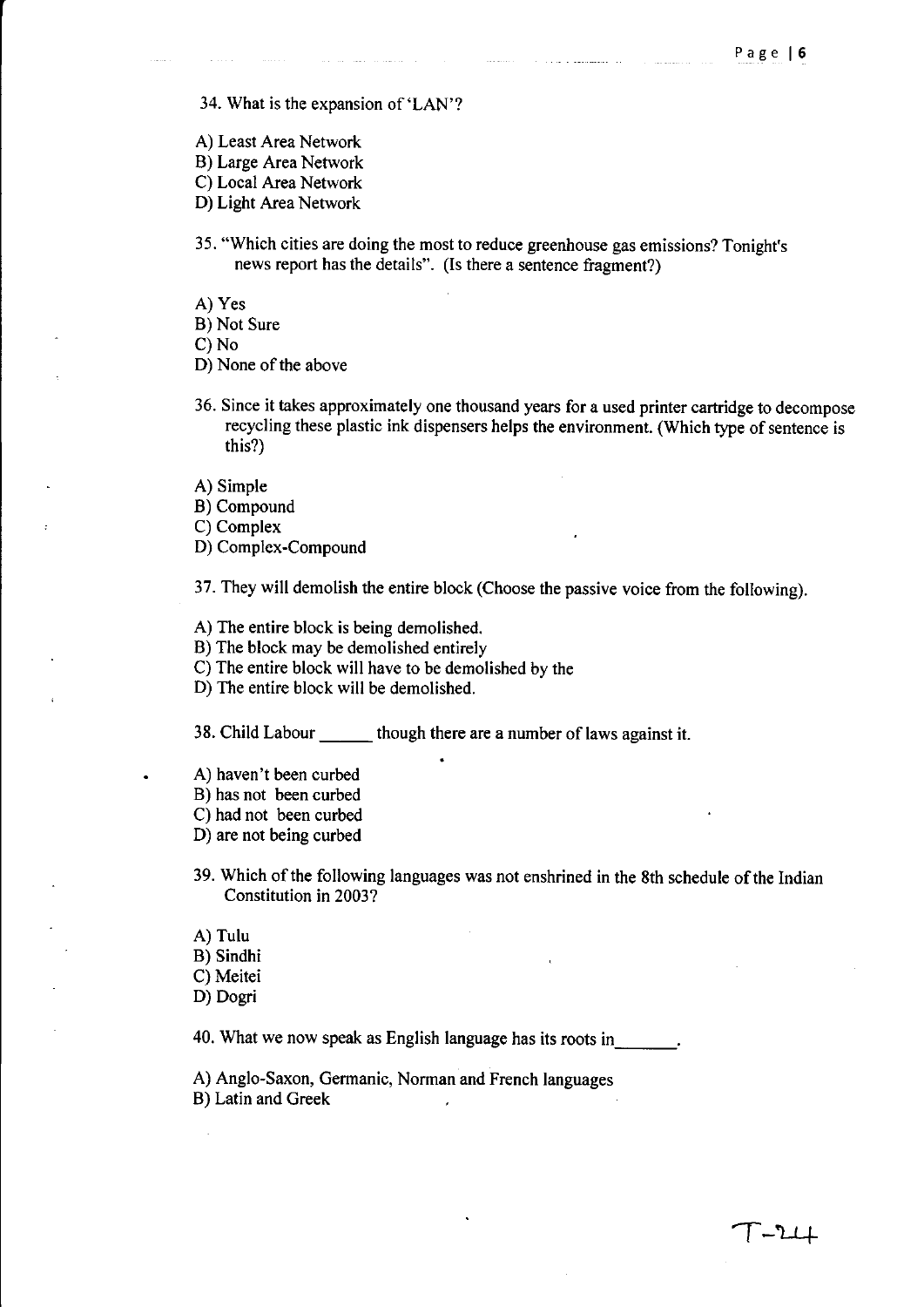34. What is the expansion of'LAN'?

- A) Least Area Network
- B) Large Area Network
- C) Local Area Network
- 0) Light Area Network
- 35. "Which cities are doing the most to reduce greenhouse gas emissions? Tonight's news report has the details". (Is there a sentence fragment?)
- A) Yes
- B) Not Sure

C) No

- 0) None of the above
- 36. Since it takes approximately one thousand years for a used printer cartridge to decompose recycling these plastic ink dispensers helps the environment. (Which type of sentence is this?)
- A) Simple
- B) Compound

C) Complex

0) Complex-Compound

37. They will demolish the entire block (Choose the passive voice from the following).

A) The entire block is being demolished.

B) The block may be demolished entirely

C) The entire block will have to be demolished by the

0) The entire block will be demolished.

38. Child Labour \_\_\_ though there are a number of laws against it.

- A) haven't been curbed
- B) has not been curbed
- C) had not been curbed
- 0) are not being curbed
- 39. Which of the following languages was not enshrined in the 8th schedule of the Indian Constitution in 2003?
- A) Tulu
- B) Sindhi
- C) Meitei
- 0) Oogri

40. What we now speak as English language has its roots in

A) Anglo-Saxon, Germanic, Norman and French languages B) Latin and Greek  $\overline{a}$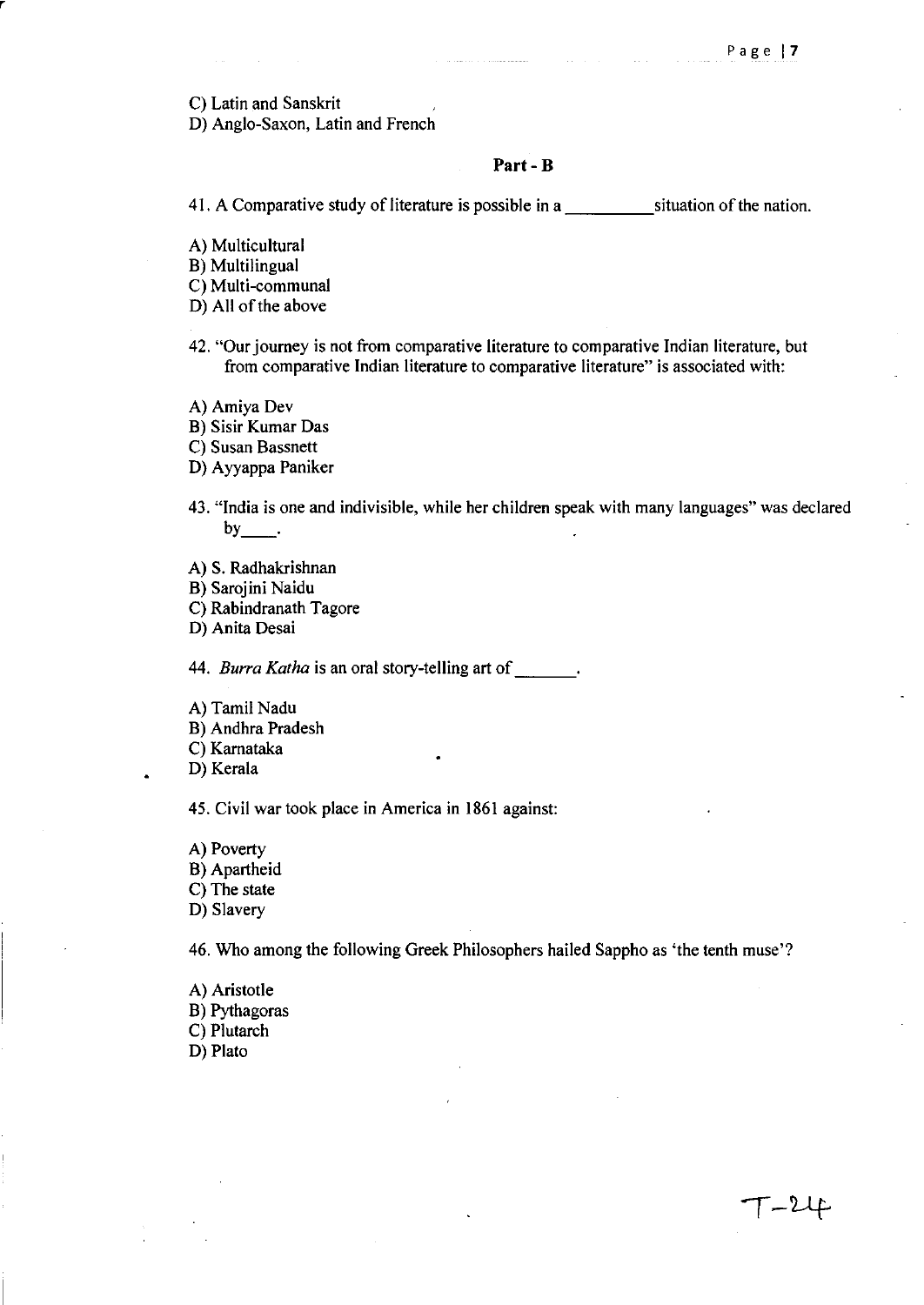T-24

C) Latin and Sanskrit

r

D) Anglo-Saxon, Latin and French

### **Part- B**

41. A Comparative study of literature is possible in a situation of the nation.

A) Multicultural

B) Multilingual

C) Multi-communal

D) All of the above

42. "Our journey is not from comparative literature to comparative Indian literature, but from comparative Indian literature to comparative literature" is associated with:

A) Amiya Dev

B) Sisir Kumar Das

C) Susan Bassnett

D) Ayyappa Paniker

43. "India is one and indivisible, while her children speak with many languages" was declared  $by$ .

A) S. Radhakrishnan

B) Sarojini Naidu

C) Rabindranath Tagore

D) Anita Desai

*44. Burra Katha* is an oral story-telling art of \_\_ \_

- A) Tamil Nadu
- B) Andhra Pradesh

C) Karnataka

D) Kerala

45. Civil war took place in America in 1861 against:

A) Poverty B) Apartheid C) The state D) Slavery

46. Who among the following Greek Philosophers hailed Sappho as 'the tenth muse'?

A) Aristotle B) Pythagoras C) Plutarch D) Plato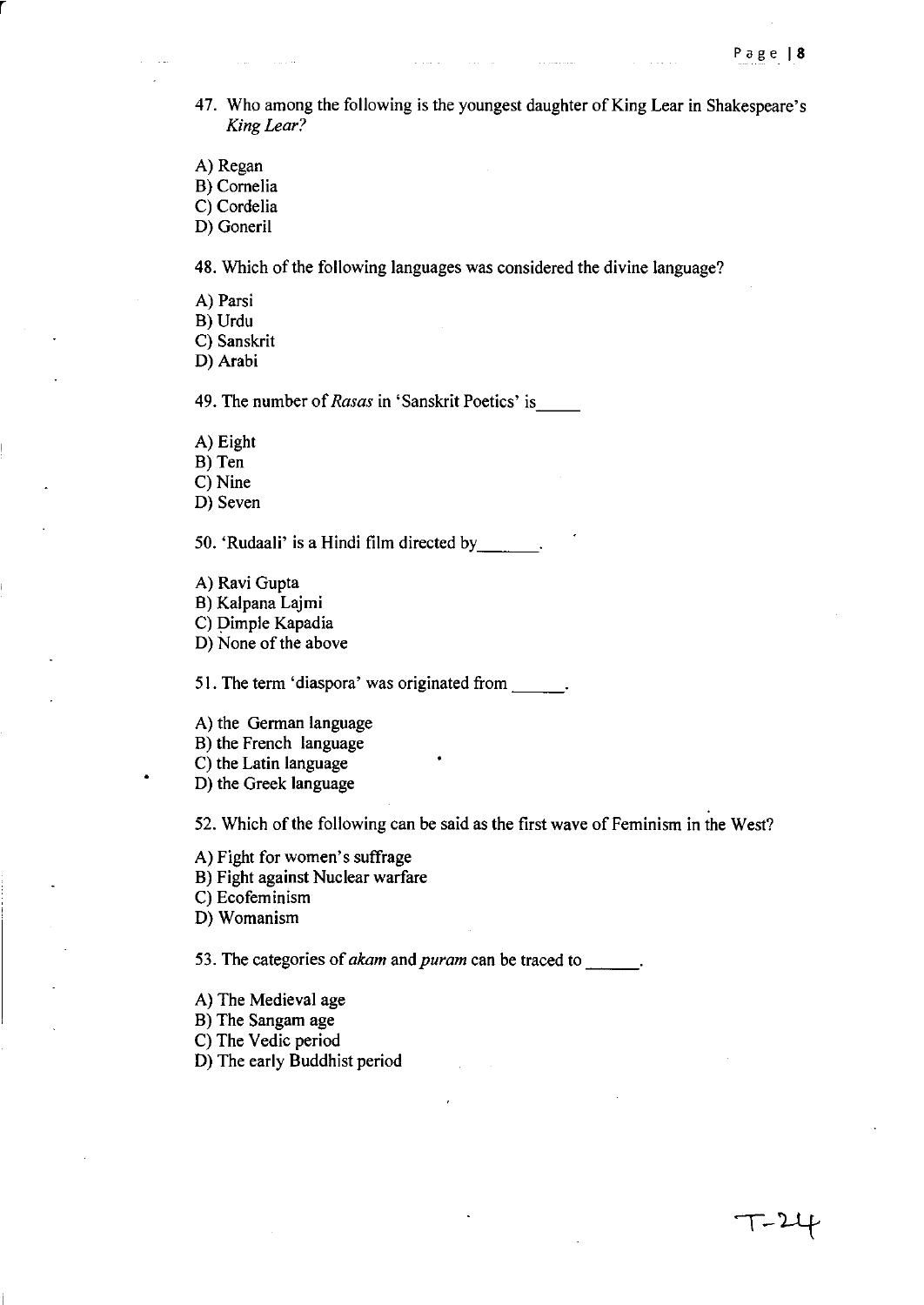- 47. Who among the following is the youngest daughter of King Lear in Shakespeare's *King Lear?*
- A) Regan

r

B) Cornelia

C) Cordelia

D) Goneril

48. Which of the following languages was considered the divine language?

A) Parsi

B) Urdu

C) Sanskrit

0) Arabi

49. The number of *Rasas* in 'Sanskrit Poetics' is \_\_

A) Eight

B) Ten

C) Nine

D) Seven

50. 'Rudaali' is a Hindi film directed by \_\_ \_

A) Ravi Gupta

B) Kalpana Lajmi

C) Dimple Kapadia

0) None of the above

51. The term 'diaspora' was originated from  $\qquad \qquad$ .

A) the German language

B) the French language

C) the Latin language

0) the Greek language

52. Which of the following can be said as the first wave of Feminism in the West?

A) Fight for women's suffrage

B) Fight against Nuclear warfare

C) Ecofeminism

0) Womanism

53. The categories of *akam* and *puram* can be traced to  $\cdot$ .

A) The Medieval age

B) The Sangam age

C) The Vedic period

0) The early Buddhist period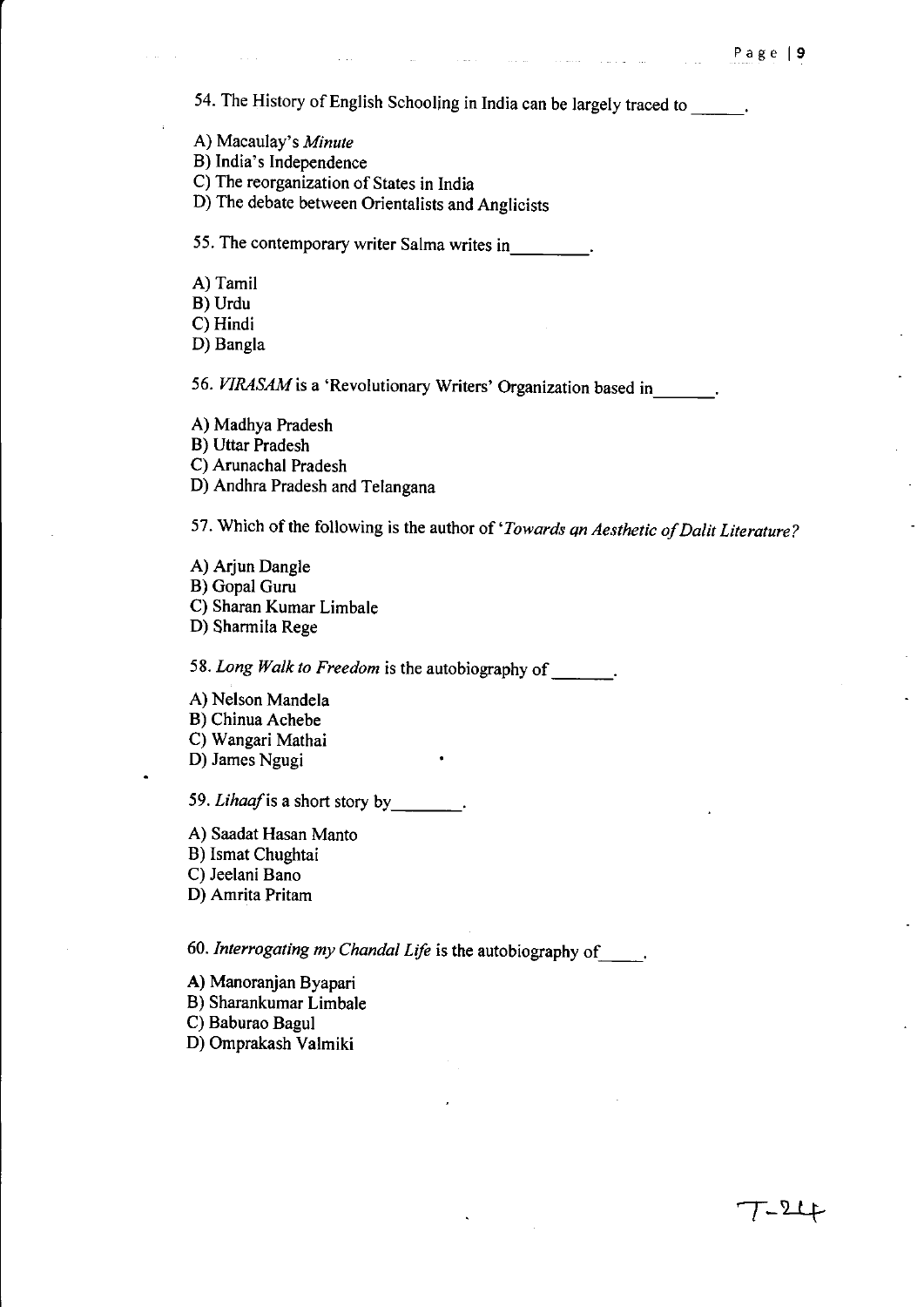$\mathcal{T}$ -24

54. The History of English Schooling in India can be largely traced to \_\_\_\_\_\_.

A) Macaulay's *Minute* 

 $\Delta\sim 1$ 

B) India's Independence

C) The reorganization of States in India

D) The debate between Orientalists and Anglicists

55. The contemporary writer Salma writes in.

A) Tamil

B) Urdu

C) Hindi

D) Bangia

56. *VIRASAM* is a 'Revolutionary Writers' Organization based in\_\_\_\_\_\_.

A) Madhya Pradesh

B) Uttar Pradesh

C) Arunachal Pradesh

D) Andhra Pradesh and Telangana

57. Which of the following is the author of *'Towards qn Aesthetic of DaUt Literature?* 

A) Arjun Dangle B) Gopal Guru C) Sharan Kumar Limbale D) Sharmila Rege

58. Long Walk to Freedom is the autobiography of \_\_\_\_\_\_.

A) Nelson Mandela B) Chinua Achebe

C) Wangari Mathai

D) James Ngugi

59. Lihaaf is a short story by \_\_\_\_\_\_\_\_.

A) Saadat Hasan Manto

B) Ismat Chughtai

C) Jeelani Bano

D) Amrita Pritam

*60. Interrogating my Chandal Life* is the autobiography of \_\_ .

A) Manoranjan Byapari

B) Sharankumar Limbale

C) Baburao Bagul

D) Omprakash Valmiki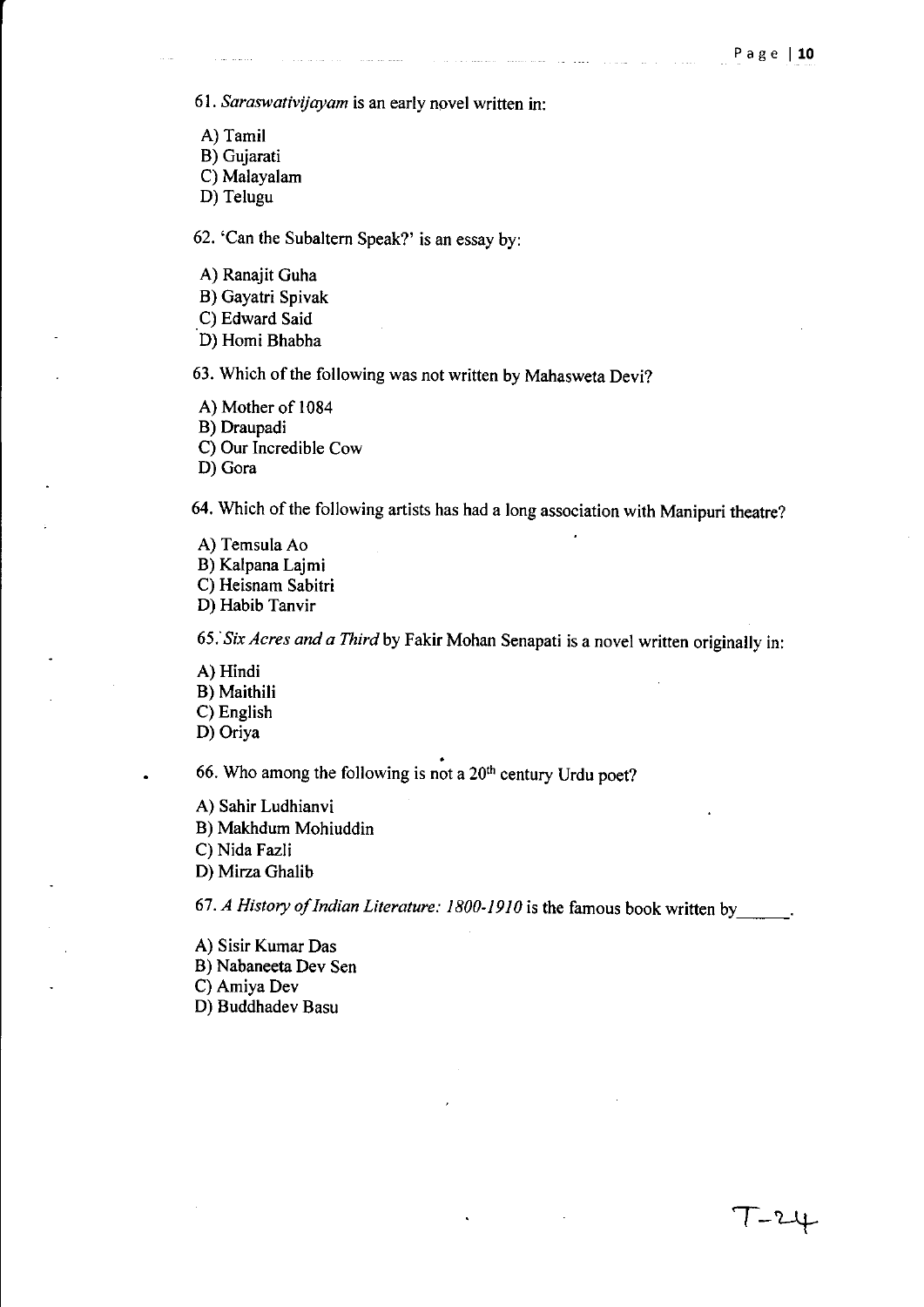$T - 24$ 

*61. Saraswativijayam* is an early novel written in:

A) Tamil B) Gujarati

C) Malayalam

D) Telugu

62. 'Can the Subaltern Speak?' is an essay by:

A) Ranajit Guha

B) Gayatri Spivak

C) Edward Said

D) Homi Bhabha

63. Which of the following was not written by Mahasweta Devi?

A) Mother of 1084

B) Draupadi

C) Our Incredible Cow

D) Gora

64. Which of the following artists has had a long association with Manipuri theatre?

A) Temsula Ao

B) Kalpana Lajmi

C) Heisnam Sabitri

D) Habib Tanvir

*65:Six Acres and a Third* by Fakir Mohan Senapati is a novel written originally in:

A) Hindi B) Maithili C) English D) Oriya

• 66. Who among the following is not a  $20<sup>th</sup>$  century Urdu poet?

A) Sahir Ludhianvi B) Makhdum Mohiuddin C) Nida Fazli D) Mirza Ghalib

67. A History of Indian Literature: 1800-1910 is the famous book written by

A) Sisir Kumar Das B) Nabaneeta Dev Sen C)AmiyaDev D) Buddhadev Basu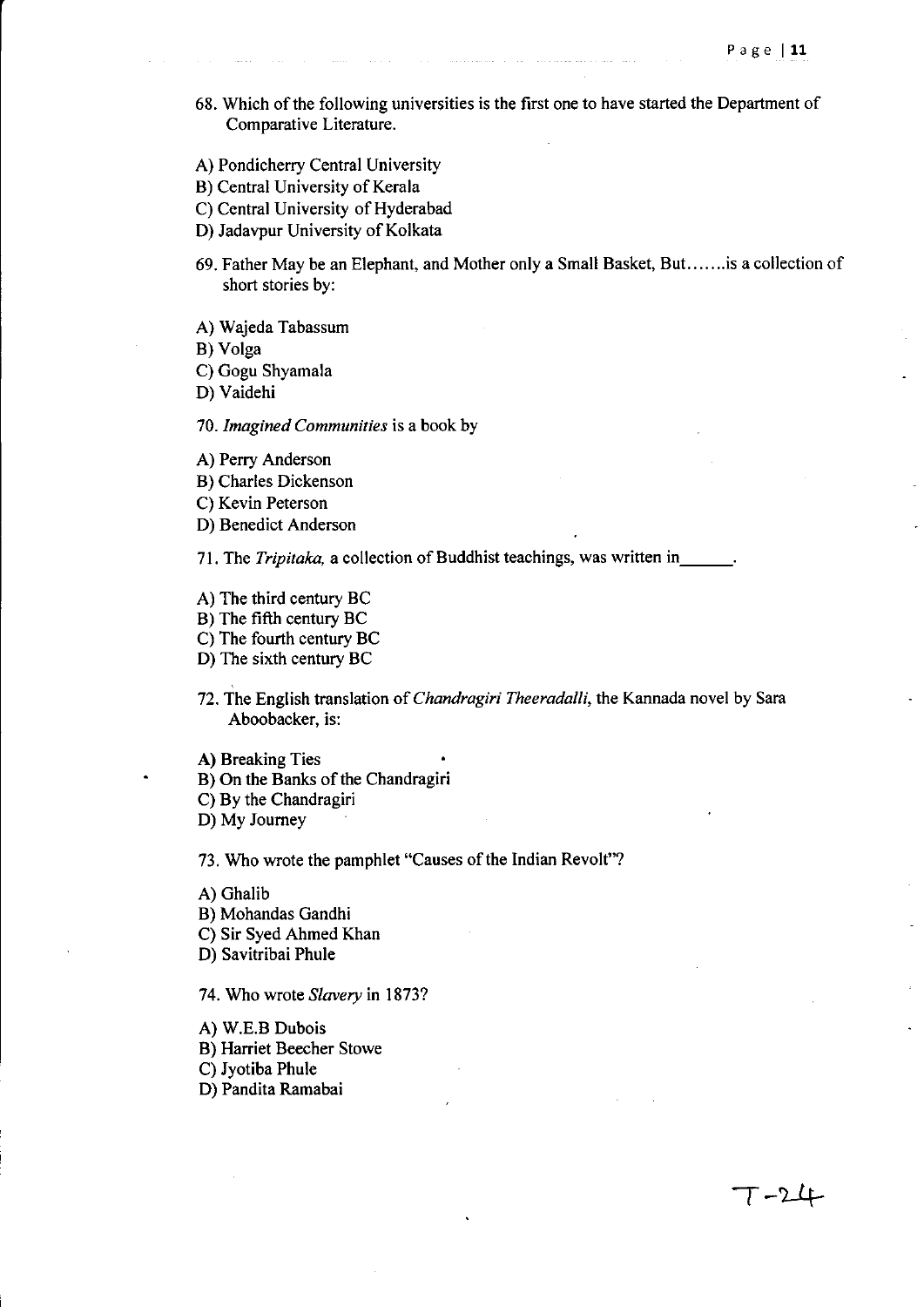$T - 24$ 

- 68. Which of the following universities is the first one to have started the Department of Comparative Literature.
- A) Pondicherry Central University
- B) Central University of Kerala
- C) Central University of Hyderabad
- D) Jadavpur University of Kolkata
- 69. Father May be an Elephant, and Mother only a Small Basket, But. ..... .is a collection of short stories by:
- A) Wajeda Tabassum

B) Volga

C) Gogu Shyamala

D) Vaidehi

*70. Imagined Communities* is a book by

- A) Perry Anderson
- B) Charles Dickenson
- C) Kevin Peterson
- D) Benedict Anderson

71. The *Tripitaka*, a collection of Buddhist teachings, was written in

- A) The third century BC
- B) The fifth century BC
- C) The fourth century BC
- D) The sixth century BC
- 72. The English translation of *Chandragiri Theeradalli,* the Kannada novel by Sara Aboobacker, is:

A) Breaking Ties

- B) On the Banks of the Chandragiri
- C) By the Chandragiri

D) My Journey

73. Who wrote the pamphlet "Causes of the Indian Revolt"?

- A) Ghalib
- B) Mohandas Gandhi
- C) Sir Syed Ahmed Khan
- D) Savitribai Phule

74. Who wrote *Slavery* in 1873?

- A) W.E.B Dubois
- B) Harriet Beecher Stowe

C) Jyotiba Phule

D) Pandita Ramabai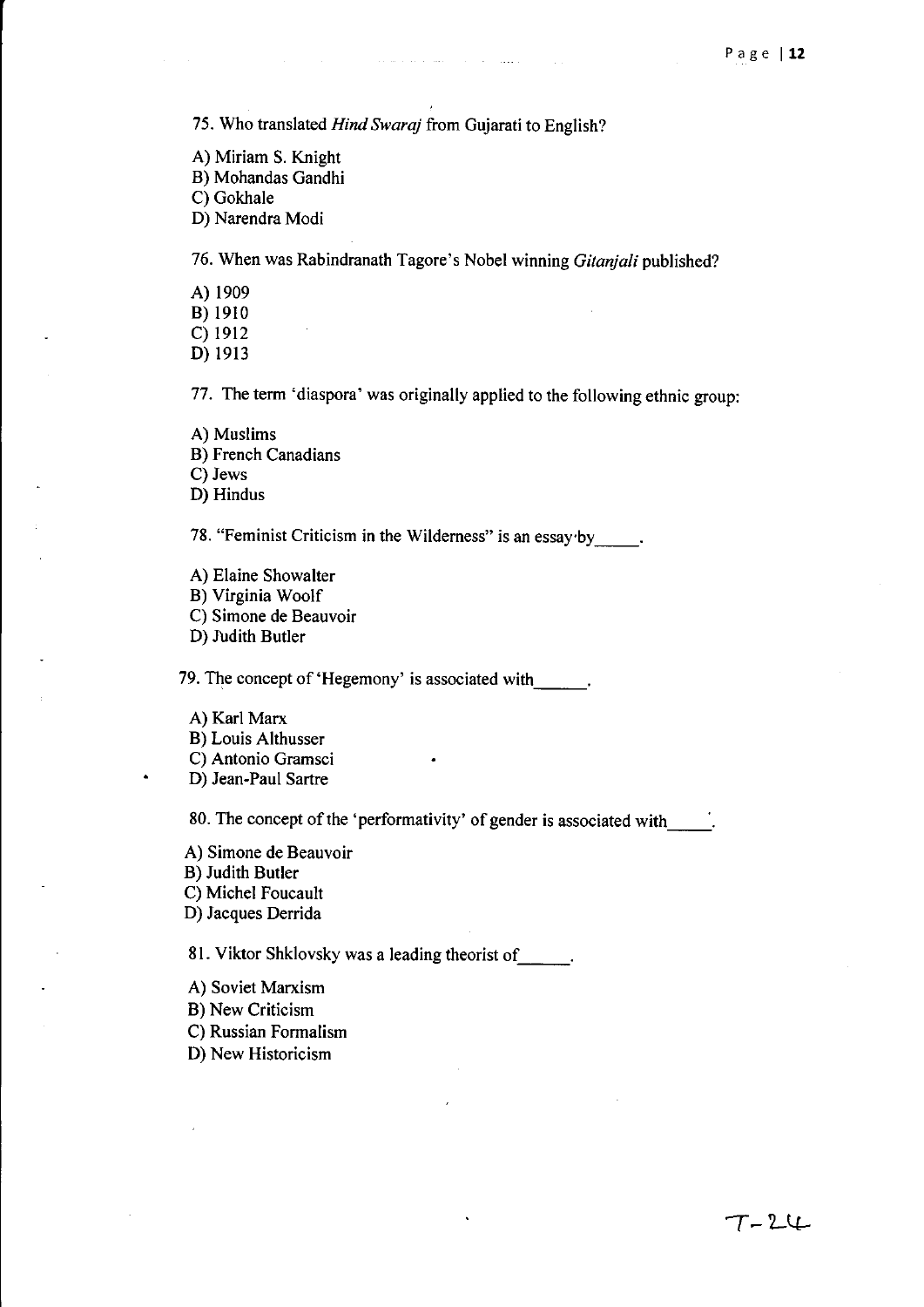75. Who translated *Hind Swara)* from Gujarati to English?

- A) Miriam S. Knight
- B) Mohandas Gandhi

C) Gokhale

D) Narendra Modi

76. When was Rabindranath Tagore's Nobel winning *Gitanjali* published?

. The second contract compared is the second contract of  $\mathcal{O}(\mathcal{E})$ 

A) 1909

B) 1910

C) 1912

D) 1913

77. The term 'diaspora' was originally applied to the following ethnic group:

- A) Muslims
- B) French Canadians

C) Jews

D) Hindus

78. "Feminist Criticism in the Wilderness" is an essay by

A) Elaine Showalter B) Virginia Woolf

C) Simone de Beauvoir

D) Judith Butler

79. The concept of 'Hegemony' is associated with  $\qquad \qquad$ .

- A) Karl Marx
- B) Louis Althusser
- C) Antonio Gramsci

D) Jean-Paul Sartre

80. The concept of the 'performativity' of gender is associated with

A) Simone de Beauvoir B) Judith Butler C) Michel Foucault D) Jacques Derrida

81. Viktor Shklovsky was a leading theorist of

- A) Soviet Marxism
- B) New Criticism
- C) Russian Formalism
- D) New Historicism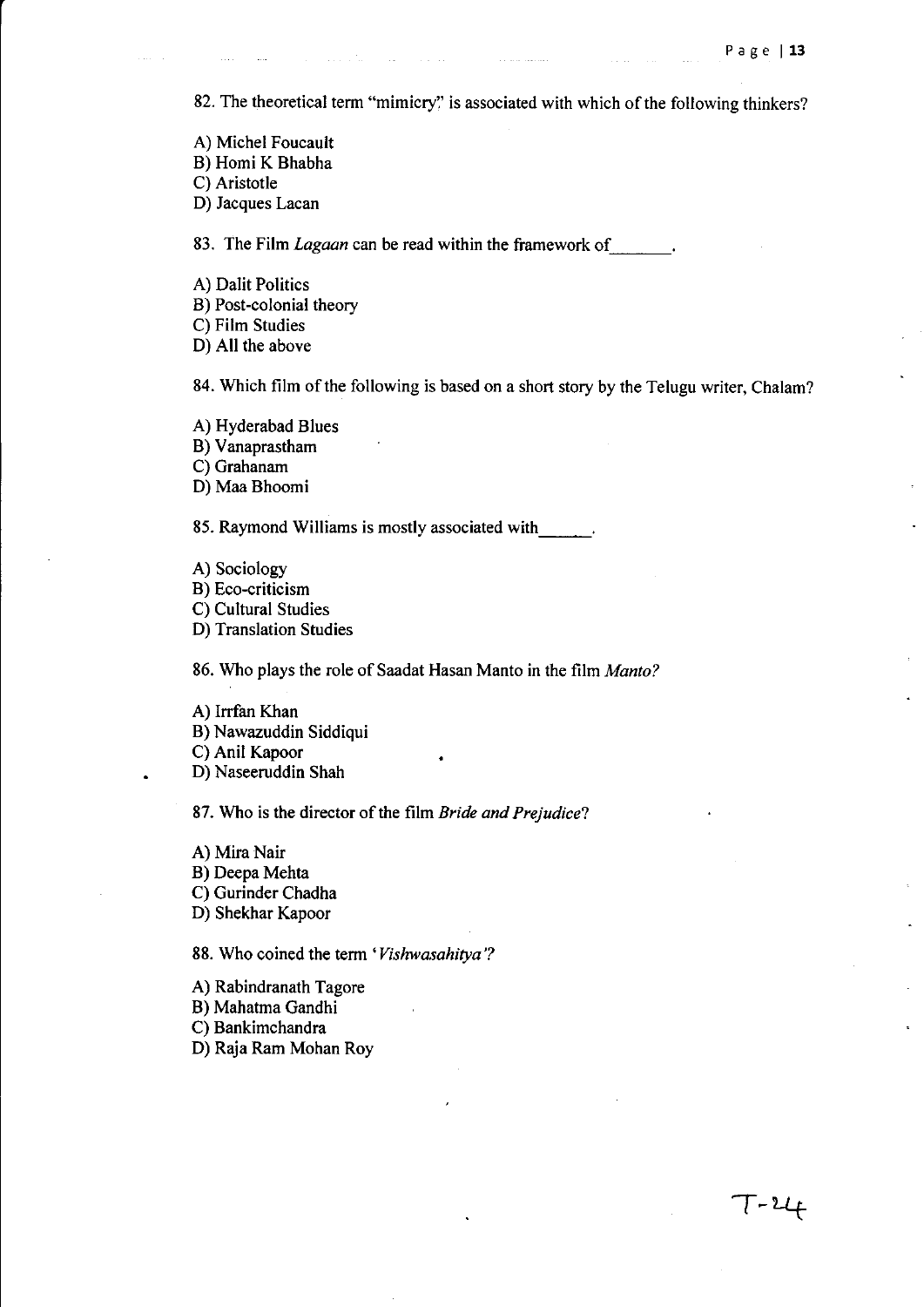82. The theoretical term "mimicry" is associated with which of the following thinkers?

- A) Michel Foucault B) Homi K Bhabha
- C) Aristotle

D) Jacques Lacan

83. The Film *Lagaan* can be read within the framework of  $\ldots$ 

 $\hat{L}$  and  $\hat{L}$ 

A) Dalit Politics B) Post-colonial theory C) Film Studies

D) All the above

84. Which film of the following is based on a short story by the Telugu writer, Chalam?

A) Hyderabad Blues

B) Vanaprastham

C) Grahanam

D) Maa Bhoomi

85. Raymond Williams is mostly associated with.

A) Sociology B) Eco-criticism C) Cultural Studies D) Translation Studies

86. Who plays the role of Saadat Hasan Manto in the film *Manto?* 

A) Irrfan Khan B) Nawazuddin Siddiqui C) Anil Kapoor D) Naseeruddin Shah

87. Who is the director of the film *Bride and Prejudice?* 

A) Mira Nair B) Deepa Mehta C) Gurinder Chadha D) Shekhar Kapoor

88. Who coined the term *'Vishwasahitya* '?

A) Rabindranath Tagore

B) Mahatma Gandhi

C) Bankimchandra

D) Raja Ram Mohan Roy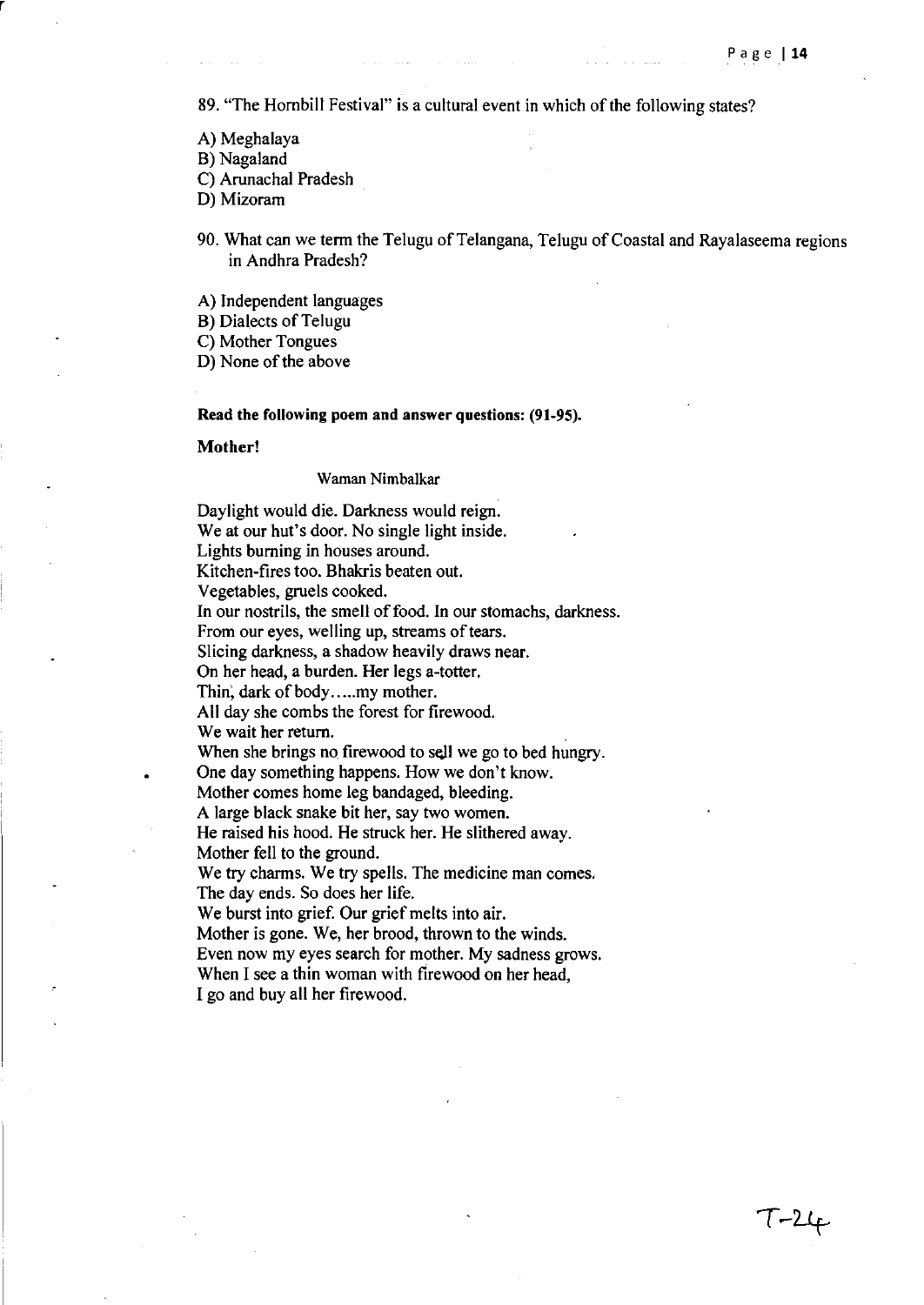$T - 24$ 

89. "The Hornbill Festival" is a cultural event in which of the following states?

- A) Meghalaya
- B) Nagaland

r

- C) Arunachal Pradesh
- D) Mizoram
- 90. What can we term the Telugu of Telangana, Telugu of Coastal and Rayalaseema regions in Andhra Pradesh?
- A) Independent languages
- B) Dialects of Telugu
- C) Mother Tongues

D) None of the above

#### Read the following poem and answer questions: (91-95).

Mother!

#### Waman Nimbalkar

Daylight would die. Darkness would reign. We at our hut's door. No single light inside. Lights burning in houses around. Kitchen-fires too. Bhakris beaten out. Vegetables, gruels cooked. In our nostrils, the smell of food. In our stomachs, darkness. From our eyes, welling up, streams of tears. Slicing darkness, a shadow heavily draws near. On her head, a burden. Her legs a-totter. Thin, dark of body.....my mother. All day she combs the forest for firewood. We wait her return. When she brings no firewood to sell we go to bed hungry. One day something happens. How we don't know. Mother comes home leg bandaged, bleeding. A large black snake bit her, say two women. He raised his hood. He struck her. He slithered away. Mother fell to the ground. We try charms. We try spells. The medicine man comes. The day ends. So does her life. We burst into grief. Our grief melts into air. Mother is gone. We, her brood, thrown to the winds. Even now my eyes search for mother. My sadness grows. When I see a thin woman with firewood on her head. I go and buy all her firewood.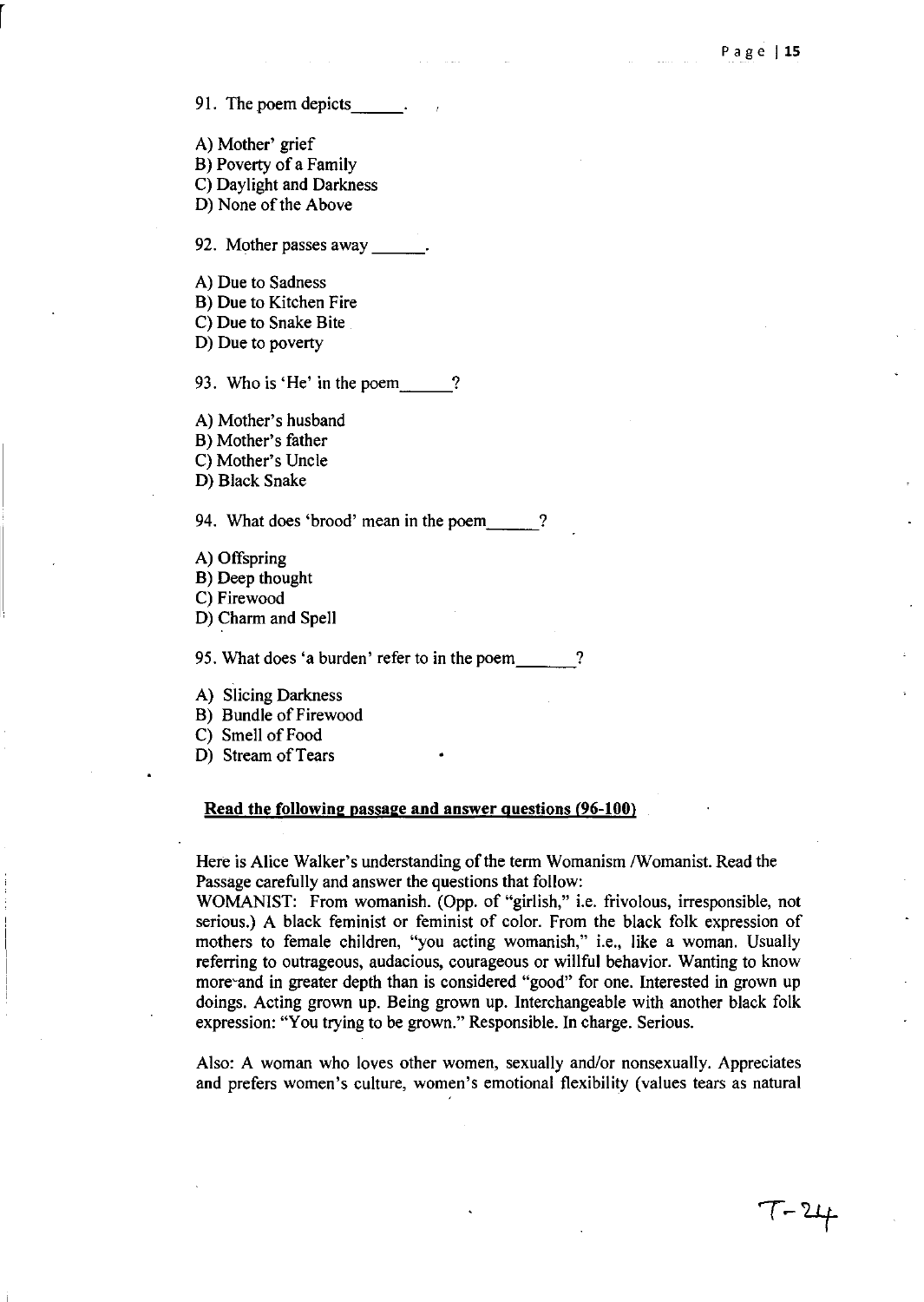91. The poem depicts \_\_ \_

A) Mother' grief B) Poverty of a Family C) Daylight and Darkness D) None of the Above

92. Mother passes away

A) Due to Sadness

B) Due to Kitchen Fire

C) Due to Snake Bite

D) Due to poverty

93. Who is 'He' in the poem ?

A) Mother's husband B) Mother's father

C) Mother's Uncle

D) Black Snake

94. What does 'brood' mean in the poem

A) Offspring

B) Deep thought

C) Firewood

D) Charm and Spell

95. What does 'a burden' refer to in the poem ?

A) Slicing Darkness

B) Bundle of Firewood

C) Smell of Food

D) Stream of Tears

#### Read the **following** passage and answer questions (96-100)

Here is Alice Walker's understanding of the term Womanism / Womanist. Read the Passage carefully and answer the questions that follow:

WOMANIST: From womanish. (Opp. of "girlish," i.e. frivolous, irresponsible, not serious.) A black feminist or feminist of color. From the black folk expression of mothers to female children, "you acting womanish," i.e., like a woman. Usually referring to outrageous, audacious, courageous or willful behavior. Wanting to know more and in greater depth than is considered "good" for one. Interested in grown up doings. Acting grown up. Being grown up. Interchangeable with another black folk expression: "You trying to be grown." Responsible. In charge. Serious.

Also: A woman who loves other women, sexually and/or nonsexually. Appreciates and prefers women's culture, women's emotional flexibility (values tears as natural

 $T - 24$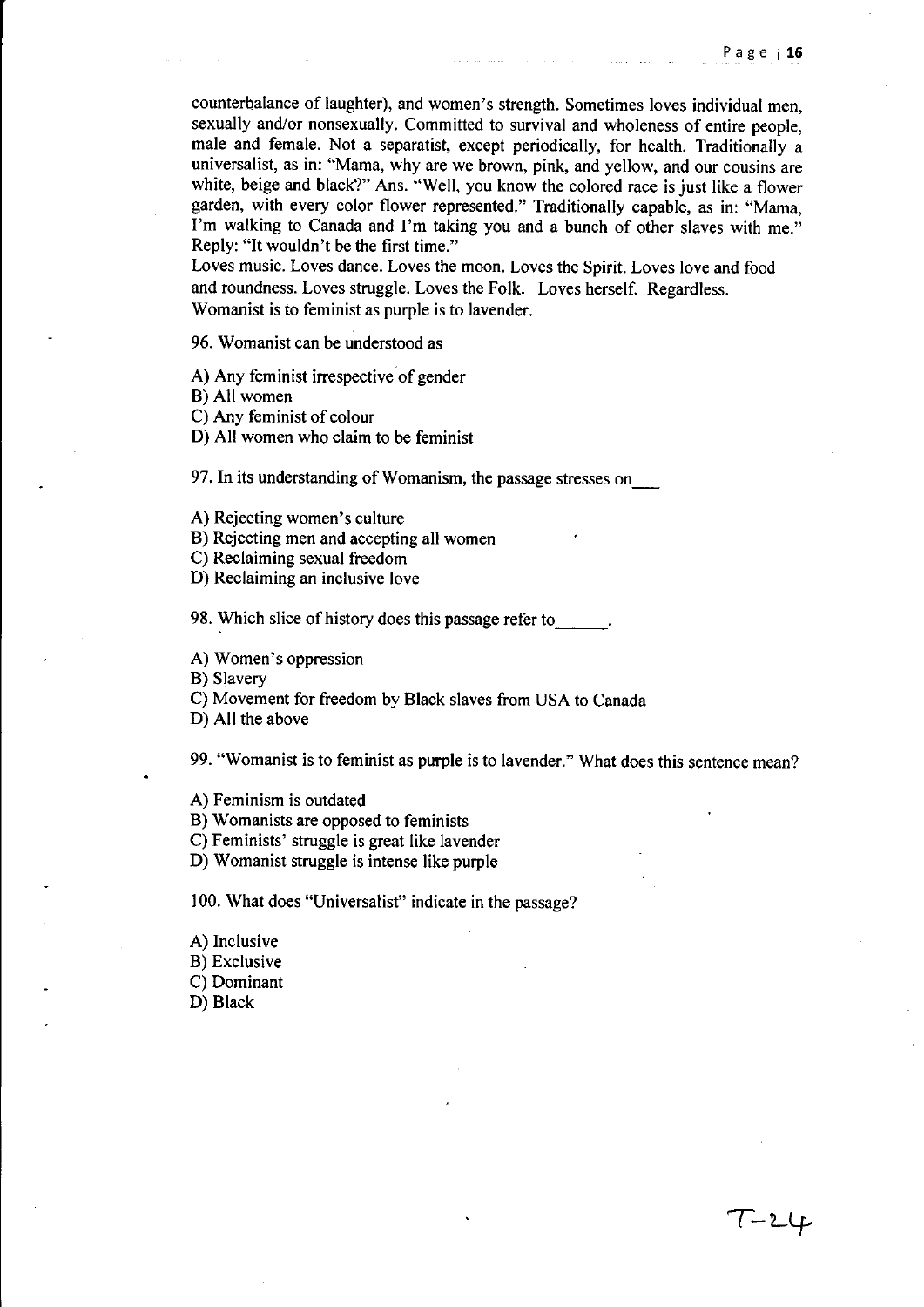T-LLf

counterbalance of laughter), and women's strength. Sometimes loves individual men, sexually and/or nonsexually. Committed to survival and wholeness of entire people, male and female. Not a separatist, except periodically, for health. Traditionally a universalist, as in: "Mama, why are we brown, pink, and yellow, and our cousins are white, beige and black?" Ans. "Well, you know the colored race is just like a flower garden, with every color flower represented." Traditionally capable, as in: "Mama, I'm walking to Canada and I'm taking you and a bunch of other slaves with me." Reply: "It wouldn't be the first time."

Loves music. Loves dance. Loves the moon. Loves the Spirit. Loves love and food and roundness. Loves struggle. Loves the Folk. Loves herself. Regardless. Womanist is to feminist as purple is to lavender.

96. Womanist can be understood as

A) Any feminist irrespective of gender

B) All women

C) Any feminist of colour

D) All women who claim to be feminist

97. In its understanding of Womanism, the passage stresses on

A) Rejecting women's culture

B) Rejecting men and accepting all women

C) Reclaiming sexual freedom

D) Reclaiming an inclusive love

98. Which slice of history does this passage refer to

A) Women's oppression

B) Slavery

C) Movement for freedom by Black slaves from USA to Canada

D) All the above

99. "Womanist is to feminist as purple is to lavender." What does this sentence mean?

A) Feminism is outdated

B) Womanists are opposed to feminists

C) Feminists' struggle is great like lavender

D) Womanist struggle is intense like purple

100. What does "Universalist" indicate in the passage?

A) Inclusive B) Exclusive C) Dominant D) Black